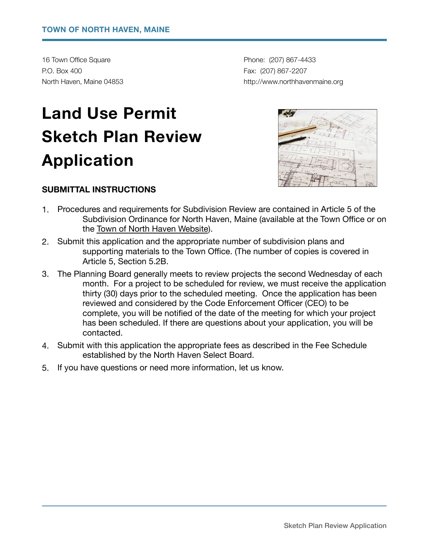16 Town Office Square **by Community Phone:** (207) 867-4433 P.O. Box 400 **Fax: (207) 867-2207** 

North Haven, Maine 04853 *North Haven, Maine 04853 north havenmaine.org northhavenmaine.org* 

# **Land Use Permit Sketch Plan Review Application**

#### **SUBMITTAL INSTRUCTIONS**

- 1. Procedures and requirements for Subdivision Review are contained in Article 5 of the Subdivision Ordinance for North Haven, Maine (available at the Town Office or on the [Town of North Haven Website](http://www.northhavenmaine.org/)).
- 2. Submit this application and the appropriate number of subdivision plans and supporting materials to the Town Office. (The number of copies is covered in Article 5, Section 5.2B.
- 3. The Planning Board generally meets to review projects the second Wednesday of each month. For a project to be scheduled for review, we must receive the application thirty (30) days prior to the scheduled meeting. Once the application has been reviewed and considered by the Code Enforcement Officer (CEO) to be complete, you will be notified of the date of the meeting for which your project has been scheduled. If there are questions about your application, you will be contacted.
- 4. Submit with this application the appropriate fees as described in the Fee Schedule established by the North Haven Select Board.
- 5. If you have questions or need more information, let us know.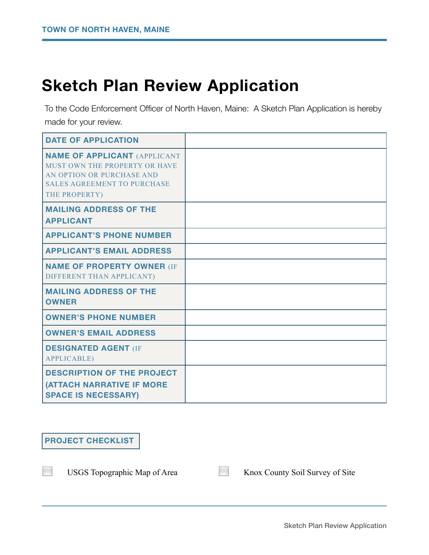## **Sketch Plan Review Application**

To the Code Enforcement Officer of North Haven, Maine: A Sketch Plan Application is hereby made for your review.

| <b>DATE OF APPLICATION</b>                                                                                                                               |  |
|----------------------------------------------------------------------------------------------------------------------------------------------------------|--|
| <b>NAME OF APPLICANT (APPLICANT</b><br>MUST OWN THE PROPERTY OR HAVE<br>AN OPTION OR PURCHASE AND<br><b>SALES AGREEMENT TO PURCHASE</b><br>THE PROPERTY) |  |
| <b>MAILING ADDRESS OF THE</b><br><b>APPLICANT</b>                                                                                                        |  |
| <b>APPLICANT'S PHONE NUMBER</b>                                                                                                                          |  |
| <b>APPLICANT'S EMAIL ADDRESS</b>                                                                                                                         |  |
| <b>NAME OF PROPERTY OWNER (IF</b><br>DIFFERENT THAN APPLICANT)                                                                                           |  |
| <b>MAILING ADDRESS OF THE</b><br><b>OWNER</b>                                                                                                            |  |
| <b>OWNER'S PHONE NUMBER</b>                                                                                                                              |  |
| <b>OWNER'S EMAIL ADDRESS</b>                                                                                                                             |  |
| <b>DESIGNATED AGENT (IF</b><br><b>APPLICABLE</b> )                                                                                                       |  |
| <b>DESCRIPTION OF THE PROJECT</b><br><b>(ATTACH NARRATIVE IF MORE</b><br><b>SPACE IS NECESSARY)</b>                                                      |  |

### **PROJECT CHECKLIST**

◻ USGS Topographic Map of Area ◻ Knox County Soil Survey of Site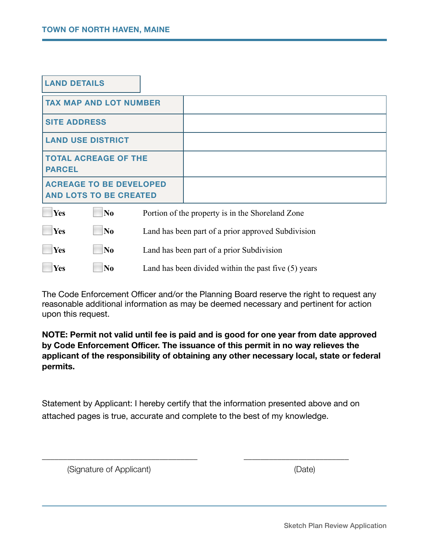| <b>LAND DETAILS</b>                                             |                                                  |
|-----------------------------------------------------------------|--------------------------------------------------|
| <b>TAX MAP AND LOT NUMBER</b>                                   |                                                  |
| <b>SITE ADDRESS</b>                                             |                                                  |
| <b>LAND USE DISTRICT</b>                                        |                                                  |
| <b>TOTAL ACREAGE OF THE</b><br><b>PARCEL</b>                    |                                                  |
| <b>ACREAGE TO BE DEVELOPED</b><br><b>AND LOTS TO BE CREATED</b> |                                                  |
| Yes<br>N <sub>0</sub><br>$\overline{\phantom{a}}$               | Portion of the property is in the Shoreland Zone |

| Yes                | $\bf N_0$      | Land has been part of a prior approved Subdivision     |
|--------------------|----------------|--------------------------------------------------------|
| $\blacksquare$ Yes | $\blacksquare$ | Land has been part of a prior Subdivision              |
| $\blacksquare$ Yes | $\mathbf{N}$   | Land has been divided within the past five $(5)$ years |

The Code Enforcement Officer and/or the Planning Board reserve the right to request any reasonable additional information as may be deemed necessary and pertinent for action upon this request.

**NOTE: Permit not valid until fee is paid and is good for one year from date approved by Code Enforcement Officer. The issuance of this permit in no way relieves the applicant of the responsibility of obtaining any other necessary local, state or federal permits.** 

Statement by Applicant: I hereby certify that the information presented above and on attached pages is true, accurate and complete to the best of my knowledge.

\_\_\_\_\_\_\_\_\_\_\_\_\_\_\_\_\_\_\_\_\_\_\_\_\_\_\_\_\_\_\_\_\_\_\_\_\_ \_\_\_\_\_\_\_\_\_\_\_\_\_\_\_\_\_\_\_\_\_\_\_\_\_

(Signature of Applicant) (Date)